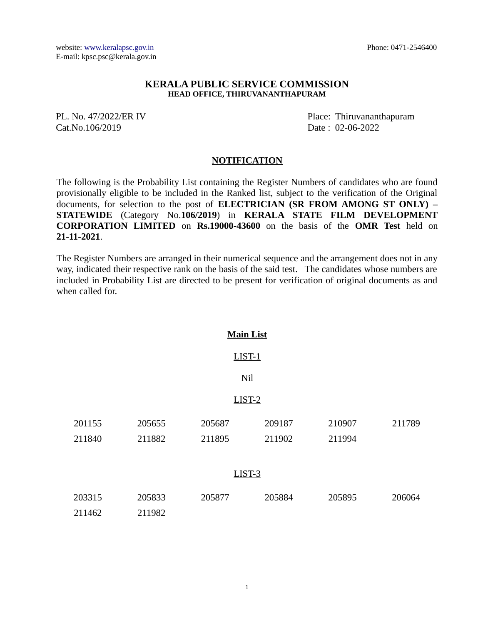## **KERALA PUBLIC SERVICE COMMISSION HEAD OFFICE, THIRUVANANTHAPURAM**

Cat.No.106/2019 Date : 02-06-2022

PL. No. 47/2022/ER IV Place: Thiruvananthapuram

## **NOTIFICATION**

The following is the Probability List containing the Register Numbers of candidates who are found provisionally eligible to be included in the Ranked list, subject to the verification of the Original documents, for selection to the post of **ELECTRICIAN (SR FROM AMONG ST ONLY) – STATEWIDE** (Category No.**106/2019**) in **KERALA STATE FILM DEVELOPMENT CORPORATION LIMITED** on **Rs.19000-43600** on the basis of the **OMR Test** held on **21-11-2021**.

The Register Numbers are arranged in their numerical sequence and the arrangement does not in any way, indicated their respective rank on the basis of the said test. The candidates whose numbers are included in Probability List are directed to be present for verification of original documents as and when called for.

| <b>Main List</b> |        |        |          |        |        |
|------------------|--------|--------|----------|--------|--------|
|                  |        |        | $LIST-1$ |        |        |
| Nil              |        |        |          |        |        |
| LIST-2           |        |        |          |        |        |
| 201155           | 205655 | 205687 | 209187   | 210907 | 211789 |
| 211840           | 211882 | 211895 | 211902   | 211994 |        |
|                  |        |        | LIST-3   |        |        |
| 203315           | 205833 | 205877 | 205884   | 205895 | 206064 |
| 211462           | 211982 |        |          |        |        |